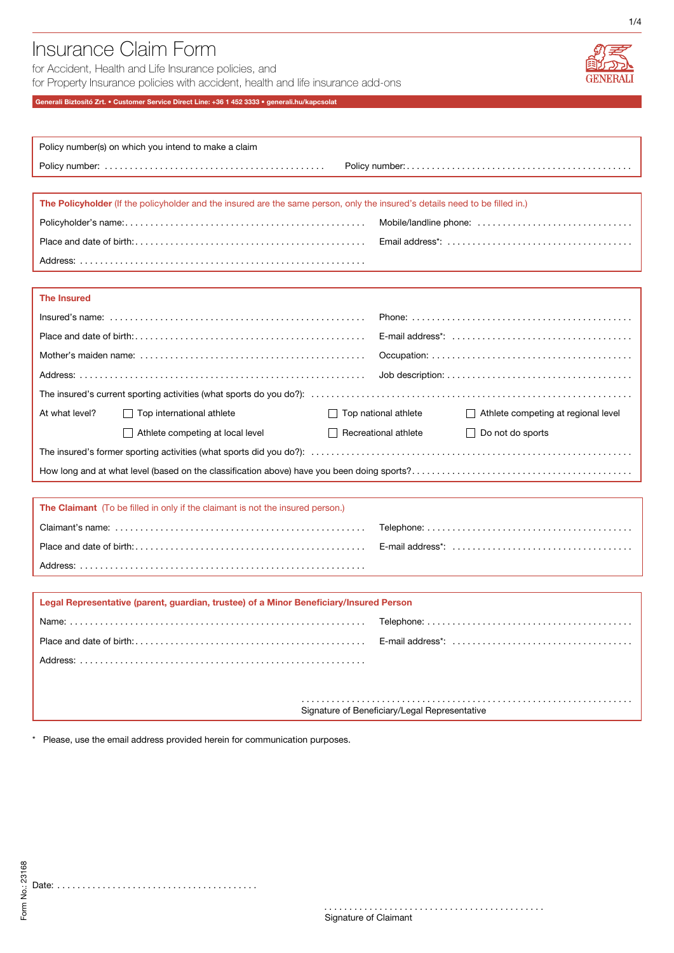# Insurance Claim Form

for Accident, Health and Life Insurance policies, and for Property Insurance policies with accident, health and life insurance add-ons



1/4

# Generali Biztosító Zrt. • Customer Service Direct Line: +36 1 452 3333 • generali.hu/kapcsolat

| Policy number(s) on which you intend to make a claim                                                                         |                                                                                                                             |  |  |  |  |  |  |
|------------------------------------------------------------------------------------------------------------------------------|-----------------------------------------------------------------------------------------------------------------------------|--|--|--|--|--|--|
|                                                                                                                              |                                                                                                                             |  |  |  |  |  |  |
|                                                                                                                              |                                                                                                                             |  |  |  |  |  |  |
| The Policyholder (If the policyholder and the insured are the same person, only the insured's details need to be filled in.) |                                                                                                                             |  |  |  |  |  |  |
|                                                                                                                              | Mobile/landline phone:                                                                                                      |  |  |  |  |  |  |
|                                                                                                                              | Email address*: $\ldots$ , $\ldots$ , $\ldots$ , $\ldots$ , $\ldots$ , $\ldots$ , $\ldots$ , $\ldots$ , $\ldots$ , $\ldots$ |  |  |  |  |  |  |
|                                                                                                                              |                                                                                                                             |  |  |  |  |  |  |
|                                                                                                                              |                                                                                                                             |  |  |  |  |  |  |
| <b>The Insured</b>                                                                                                           |                                                                                                                             |  |  |  |  |  |  |
|                                                                                                                              |                                                                                                                             |  |  |  |  |  |  |
|                                                                                                                              |                                                                                                                             |  |  |  |  |  |  |
|                                                                                                                              |                                                                                                                             |  |  |  |  |  |  |
|                                                                                                                              | Job description: $\ldots \ldots \ldots \ldots \ldots \ldots \ldots \ldots \ldots \ldots \ldots \ldots$                      |  |  |  |  |  |  |
|                                                                                                                              |                                                                                                                             |  |  |  |  |  |  |
| At what level?<br>Top international athlete                                                                                  | $\Box$ Top national athlete<br>Athlete competing at regional level                                                          |  |  |  |  |  |  |
| Athlete competing at local level                                                                                             | $\Box$ Recreational athlete<br>$\Box$ Do not do sports                                                                      |  |  |  |  |  |  |
|                                                                                                                              |                                                                                                                             |  |  |  |  |  |  |
|                                                                                                                              |                                                                                                                             |  |  |  |  |  |  |
|                                                                                                                              |                                                                                                                             |  |  |  |  |  |  |
| <b>The Claimant</b> (To be filled in only if the claimant is not the insured person.)                                        |                                                                                                                             |  |  |  |  |  |  |
|                                                                                                                              |                                                                                                                             |  |  |  |  |  |  |
|                                                                                                                              |                                                                                                                             |  |  |  |  |  |  |
|                                                                                                                              |                                                                                                                             |  |  |  |  |  |  |
|                                                                                                                              |                                                                                                                             |  |  |  |  |  |  |
| Legal Representative (parent, guardian, trustee) of a Minor Beneficiary/Insured Person                                       |                                                                                                                             |  |  |  |  |  |  |
|                                                                                                                              |                                                                                                                             |  |  |  |  |  |  |
|                                                                                                                              |                                                                                                                             |  |  |  |  |  |  |
|                                                                                                                              |                                                                                                                             |  |  |  |  |  |  |
|                                                                                                                              |                                                                                                                             |  |  |  |  |  |  |
| Signature of Beneficiary/Legal Representative                                                                                |                                                                                                                             |  |  |  |  |  |  |
|                                                                                                                              |                                                                                                                             |  |  |  |  |  |  |

\* Please, use the email address provided herein for communication purposes.

. . . . . . . . . . . . . . . . .

. . . . . . . . . . .

. . . . . . . . . . . . . . . . . Signature of Claimant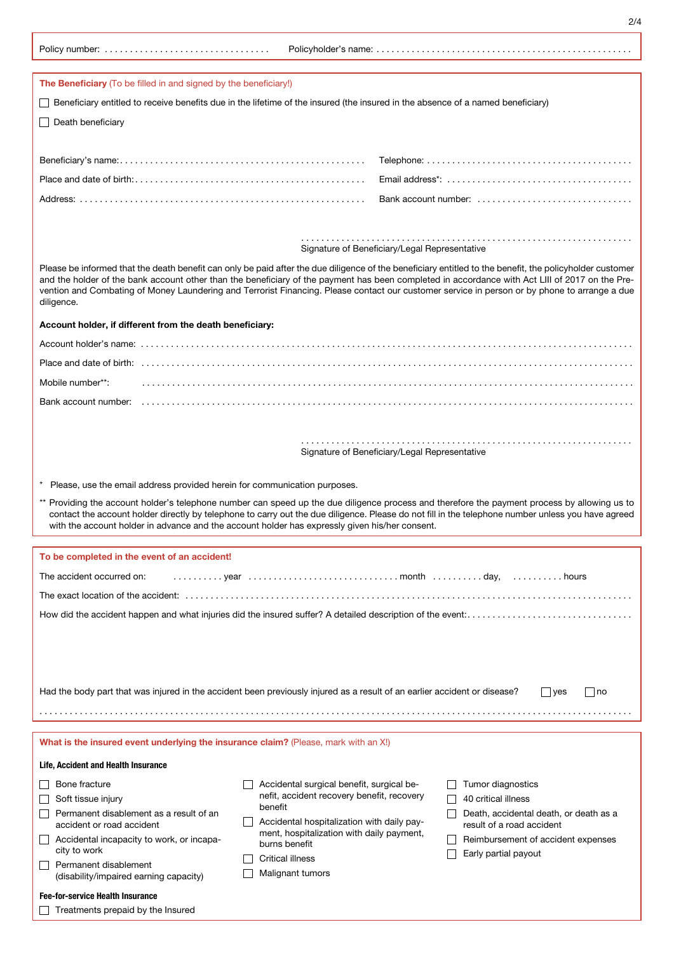$\Box$  Treatments prepaid by the Insured

| The Beneficiary (To be filled in and signed by the beneficiary!)                                                                                                                                                                                                                                                                                                                                                                                                           |                                                          |                                                                                |  |  |  |  |  |  |  |  |
|----------------------------------------------------------------------------------------------------------------------------------------------------------------------------------------------------------------------------------------------------------------------------------------------------------------------------------------------------------------------------------------------------------------------------------------------------------------------------|----------------------------------------------------------|--------------------------------------------------------------------------------|--|--|--|--|--|--|--|--|
| Beneficiary entitled to receive benefits due in the lifetime of the insured (the insured in the absence of a named beneficiary)                                                                                                                                                                                                                                                                                                                                            |                                                          |                                                                                |  |  |  |  |  |  |  |  |
| Death beneficiary                                                                                                                                                                                                                                                                                                                                                                                                                                                          |                                                          |                                                                                |  |  |  |  |  |  |  |  |
|                                                                                                                                                                                                                                                                                                                                                                                                                                                                            |                                                          |                                                                                |  |  |  |  |  |  |  |  |
|                                                                                                                                                                                                                                                                                                                                                                                                                                                                            |                                                          |                                                                                |  |  |  |  |  |  |  |  |
|                                                                                                                                                                                                                                                                                                                                                                                                                                                                            |                                                          |                                                                                |  |  |  |  |  |  |  |  |
|                                                                                                                                                                                                                                                                                                                                                                                                                                                                            |                                                          | Bank account number: $\ldots \ldots \ldots \ldots \ldots \ldots \ldots \ldots$ |  |  |  |  |  |  |  |  |
|                                                                                                                                                                                                                                                                                                                                                                                                                                                                            |                                                          |                                                                                |  |  |  |  |  |  |  |  |
| Signature of Beneficiary/Legal Representative                                                                                                                                                                                                                                                                                                                                                                                                                              |                                                          |                                                                                |  |  |  |  |  |  |  |  |
| Please be informed that the death benefit can only be paid after the due diligence of the beneficiary entitled to the benefit, the policyholder customer<br>and the holder of the bank account other than the beneficiary of the payment has been completed in accordance with Act LIII of 2017 on the Pre-<br>vention and Combating of Money Laundering and Terrorist Financing. Please contact our customer service in person or by phone to arrange a due<br>diligence. |                                                          |                                                                                |  |  |  |  |  |  |  |  |
|                                                                                                                                                                                                                                                                                                                                                                                                                                                                            | Account holder, if different from the death beneficiary: |                                                                                |  |  |  |  |  |  |  |  |
|                                                                                                                                                                                                                                                                                                                                                                                                                                                                            |                                                          |                                                                                |  |  |  |  |  |  |  |  |
|                                                                                                                                                                                                                                                                                                                                                                                                                                                                            |                                                          |                                                                                |  |  |  |  |  |  |  |  |
| Mobile number**:                                                                                                                                                                                                                                                                                                                                                                                                                                                           |                                                          |                                                                                |  |  |  |  |  |  |  |  |
| Bank account number:                                                                                                                                                                                                                                                                                                                                                                                                                                                       |                                                          |                                                                                |  |  |  |  |  |  |  |  |
|                                                                                                                                                                                                                                                                                                                                                                                                                                                                            |                                                          |                                                                                |  |  |  |  |  |  |  |  |
|                                                                                                                                                                                                                                                                                                                                                                                                                                                                            |                                                          |                                                                                |  |  |  |  |  |  |  |  |
|                                                                                                                                                                                                                                                                                                                                                                                                                                                                            |                                                          | Signature of Beneficiary/Legal Representative                                  |  |  |  |  |  |  |  |  |
|                                                                                                                                                                                                                                                                                                                                                                                                                                                                            |                                                          |                                                                                |  |  |  |  |  |  |  |  |
| Please, use the email address provided herein for communication purposes.                                                                                                                                                                                                                                                                                                                                                                                                  |                                                          |                                                                                |  |  |  |  |  |  |  |  |
| ** Providing the account holder's telephone number can speed up the due diligence process and therefore the payment process by allowing us to<br>contact the account holder directly by telephone to carry out the due diligence. Please do not fill in the telephone number unless you have agreed<br>with the account holder in advance and the account holder has expressly given his/her consent.                                                                      |                                                          |                                                                                |  |  |  |  |  |  |  |  |
|                                                                                                                                                                                                                                                                                                                                                                                                                                                                            |                                                          |                                                                                |  |  |  |  |  |  |  |  |
| To be completed in the event of an accident!                                                                                                                                                                                                                                                                                                                                                                                                                               |                                                          |                                                                                |  |  |  |  |  |  |  |  |
| The accident occurred on:                                                                                                                                                                                                                                                                                                                                                                                                                                                  |                                                          |                                                                                |  |  |  |  |  |  |  |  |
|                                                                                                                                                                                                                                                                                                                                                                                                                                                                            |                                                          |                                                                                |  |  |  |  |  |  |  |  |
|                                                                                                                                                                                                                                                                                                                                                                                                                                                                            |                                                          |                                                                                |  |  |  |  |  |  |  |  |
|                                                                                                                                                                                                                                                                                                                                                                                                                                                                            |                                                          |                                                                                |  |  |  |  |  |  |  |  |
|                                                                                                                                                                                                                                                                                                                                                                                                                                                                            |                                                          |                                                                                |  |  |  |  |  |  |  |  |
|                                                                                                                                                                                                                                                                                                                                                                                                                                                                            |                                                          |                                                                                |  |  |  |  |  |  |  |  |
|                                                                                                                                                                                                                                                                                                                                                                                                                                                                            |                                                          |                                                                                |  |  |  |  |  |  |  |  |
| Had the body part that was injured in the accident been previously injured as a result of an earlier accident or disease?                                                                                                                                                                                                                                                                                                                                                  |                                                          | $\vert$ yes<br>   no                                                           |  |  |  |  |  |  |  |  |
|                                                                                                                                                                                                                                                                                                                                                                                                                                                                            |                                                          |                                                                                |  |  |  |  |  |  |  |  |
| What is the insured event underlying the insurance claim? (Please, mark with an X!)                                                                                                                                                                                                                                                                                                                                                                                        |                                                          |                                                                                |  |  |  |  |  |  |  |  |
| Life, Accident and Health Insurance                                                                                                                                                                                                                                                                                                                                                                                                                                        |                                                          |                                                                                |  |  |  |  |  |  |  |  |
| Bone fracture                                                                                                                                                                                                                                                                                                                                                                                                                                                              | Accidental surgical benefit, surgical be-                | Tumor diagnostics                                                              |  |  |  |  |  |  |  |  |
| Soft tissue injury                                                                                                                                                                                                                                                                                                                                                                                                                                                         | nefit, accident recovery benefit, recovery               | 40 critical illness                                                            |  |  |  |  |  |  |  |  |
| Permanent disablement as a result of an<br>accident or road accident                                                                                                                                                                                                                                                                                                                                                                                                       | benefit<br>Accidental hospitalization with daily pay-    | Death, accidental death, or death as a<br>result of a road accident            |  |  |  |  |  |  |  |  |
| Accidental incapacity to work, or incapa-                                                                                                                                                                                                                                                                                                                                                                                                                                  | ment, hospitalization with daily payment,                | Reimbursement of accident expenses                                             |  |  |  |  |  |  |  |  |
| city to work                                                                                                                                                                                                                                                                                                                                                                                                                                                               | burns benefit<br><b>Critical illness</b>                 | Early partial payout                                                           |  |  |  |  |  |  |  |  |
| Permanent disablement<br>(disability/impaired earning capacity)                                                                                                                                                                                                                                                                                                                                                                                                            | Malignant tumors                                         |                                                                                |  |  |  |  |  |  |  |  |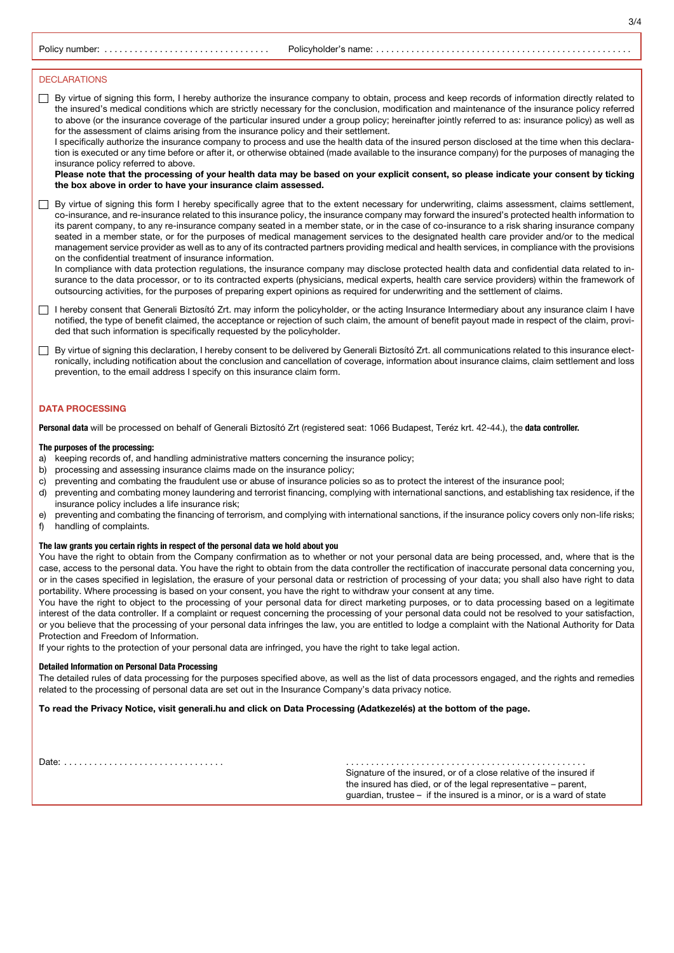Policy number: . . . . . . . . . . . . . . . . . . . . . . . . . . . . . . . . . Policyholder's name:. .

3/4

# DECLARATIONS

 $\Box$  By virtue of signing this form, I hereby authorize the insurance company to obtain, process and keep records of information directly related to the insured's medical conditions which are strictly necessary for the conclusion, modification and maintenance of the insurance policy referred to above (or the insurance coverage of the particular insured under a group policy; hereinafter jointly referred to as: insurance policy) as well as for the assessment of claims arising from the insurance policy and their settlement.

I specifically authorize the insurance company to process and use the health data of the insured person disclosed at the time when this declaration is executed or any time before or after it, or otherwise obtained (made available to the insurance company) for the purposes of managing the insurance policy referred to above.

Please note that the processing of your health data may be based on your explicit consent, so please indicate your consent by ticking the box above in order to have your insurance claim assessed.

By virtue of signing this form I hereby specifically agree that to the extent necessary for underwriting, claims assessment, claims settlement, co-insurance, and re-insurance related to this insurance policy, the insurance company may forward the insured's protected health information to its parent company, to any re-insurance company seated in a member state, or in the case of co-insurance to a risk sharing insurance company seated in a member state, or for the purposes of medical management services to the designated health care provider and/or to the medical management service provider as well as to any of its contracted partners providing medical and health services, in compliance with the provisions on the confidential treatment of insurance information.

In compliance with data protection regulations, the insurance company may disclose protected health data and confidential data related to insurance to the data processor, or to its contracted experts (physicians, medical experts, health care service providers) within the framework of outsourcing activities, for the purposes of preparing expert opinions as required for underwriting and the settlement of claims.

□ I hereby consent that Generali Biztosító Zrt. may inform the policyholder, or the acting Insurance Intermediary about any insurance claim I have notified, the type of benefit claimed, the acceptance or rejection of such claim, the amount of benefit payout made in respect of the claim, provided that such information is specifically requested by the policyholder.

□ By virtue of signing this declaration, I hereby consent to be delivered by Generali Biztosító Zrt. all communications related to this insurance electronically, including notification about the conclusion and cancellation of coverage, information about insurance claims, claim settlement and loss prevention, to the email address I specify on this insurance claim form.

### DATA PROCESSING

Personal data will be processed on behalf of Generali Biztosító Zrt (registered seat: 1066 Budapest, Teréz krt. 42-44.), the data controller.

#### The purposes of the processing:

- a) keeping records of, and handling administrative matters concerning the insurance policy;
- b) processing and assessing insurance claims made on the insurance policy;
- c) preventing and combating the fraudulent use or abuse of insurance policies so as to protect the interest of the insurance pool;
- d) preventing and combating money laundering and terrorist financing, complying with international sanctions, and establishing tax residence, if the insurance policy includes a life insurance risk;
- e) preventing and combating the financing of terrorism, and complying with international sanctions, if the insurance policy covers only non-life risks;
- f) handling of complaints.

#### The law grants you certain rights in respect of the personal data we hold about you

You have the right to obtain from the Company confirmation as to whether or not your personal data are being processed, and, where that is the case, access to the personal data. You have the right to obtain from the data controller the rectification of inaccurate personal data concerning you, or in the cases specified in legislation, the erasure of your personal data or restriction of processing of your data; you shall also have right to data portability. Where processing is based on your consent, you have the right to withdraw your consent at any time.

You have the right to object to the processing of your personal data for direct marketing purposes, or to data processing based on a legitimate interest of the data controller. If a complaint or request concerning the processing of your personal data could not be resolved to your satisfaction, or you believe that the processing of your personal data infringes the law, you are entitled to lodge a complaint with the National Authority for Data Protection and Freedom of Information.

If your rights to the protection of your personal data are infringed, you have the right to take legal action.

#### Detailed Information on Personal Data Processing

The detailed rules of data processing for the purposes specified above, as well as the list of data processors engaged, and the rights and remedies related to the processing of personal data are set out in the Insurance Company's data privacy notice.

#### To read the Privacy Notice, visit generali.hu and click on Data Processing (Adatkezelés) at the bottom of the page.

Date:. . .

. . . . . . . . . Signature of the insured, or of a close relative of the insured if the insured has died, or of the legal representative – parent, guardian, trustee – if the insured is a minor, or is a ward of state